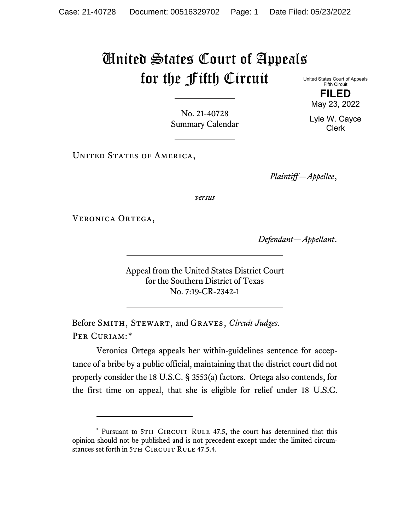## United States Court of Appeals for the Fifth Circuit

United States Court of Appeals Fifth Circuit **FILED**

No. 21-40728 Summary Calendar

UNITED STATES OF AMERICA,

*Plaintiff—Appellee*,

*versus*

VERONICA ORTEGA,

*Defendant—Appellant*.

Appeal from the United States District Court for the Southern District of Texas No. 7:19-CR-2342-1

Before Smith, Stewart, and Graves, *Circuit Judges*. PER CURIAM:[\\*](#page-0-0)

Veronica Ortega appeals her within-guidelines sentence for acceptance of a bribe by a public official, maintaining that the district court did not properly consider the 18 U.S.C. § 3553(a) factors. Ortega also contends, for the first time on appeal, that she is eligible for relief under 18 U.S.C.

May 23, 2022

Lyle W. Cayce Clerk

<span id="page-0-0"></span><sup>\*</sup> Pursuant to 5TH CIRCUIT RULE 47.5, the court has determined that this opinion should not be published and is not precedent except under the limited circumstances set forth in 5TH CIRCUIT RULE 47.5.4.